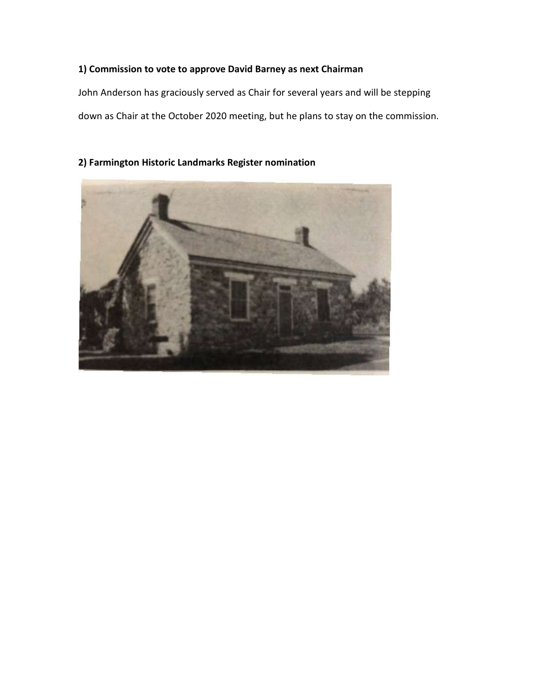# 1) Commission to vote to approve David Barney as next Chairman

John Anderson has graciously served as Chair for several years and will be stepping down as Chair at the October 2020 meeting, but he plans to stay on the commission.



# 2) Farmington Historic Landmarks Register nomination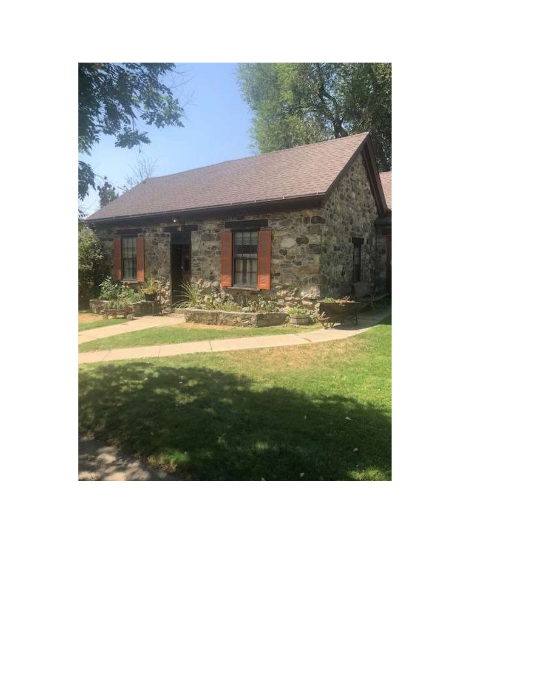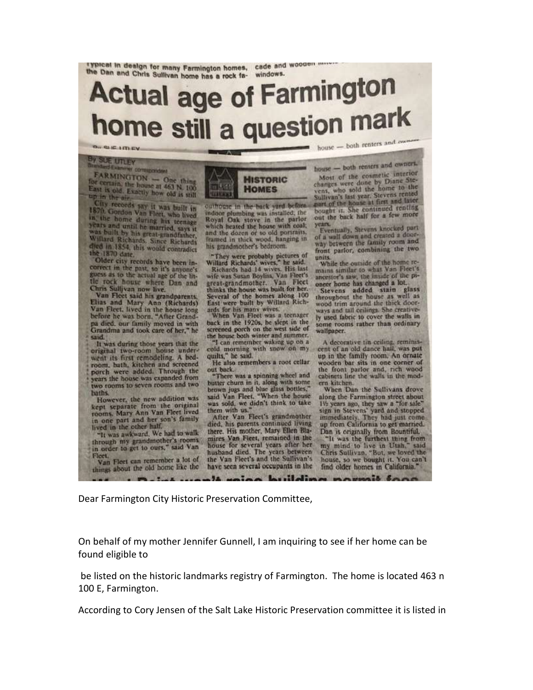cade and wooden miles Typical in dealgn for many Farmington homes, the Dan and Chris Sullivan home has a rock fawindows.

# **Actual age of Farmington** home still a question mark house - both renters and owner

**OURSELITEY** 

### BY SUE UTLEY

#### or communications

FARMINGTON - One thing<br>for certain, the house at 463 N, 100 East is old. Exactly how old is still up in the ai

tip in the air. Exactly how old is still<br>City records say it was built in<br>1870. Gordon Van Fleet, who lived<br>in, the home during his teenage<br>years and until he married, says it<br>withard Richards. Since Richards:<br>Willard Rich

pa died, our family moved in with<br>Grandma and took care of her," he said

It was during those years that the original two-room bouse under-<br>went its first remodeling. A bed-<br>room, bath, kitchen and screened<br>porch were added. Through the years the house was expanded from baths.

However, the new addition was kept separate from the original<br>rooms. Mary Ann Van Fleet lived in one part and her son's family<br>lived in the other half.

"It was awkward, We had to walk through my grandmother's rooms, Fleet.<br>Van Fleet can remember a lot of

things about the old home like the



outhouse in the back yard before. indoor plumbing was installed, the Royal Oak stove in the parlor which heated the house with coal, and the dozen of so old portraits, framed in thick wood, hanging in his grandmother's bedroom.

"They were probably pictures of<br>Willard Richards' wives," he said.<br>Richards had 14 wives. His last<br>wife was Susan Boylins, Van Fleet's<br>great-grandmother. Van Fleet<br>thinks the house was built for her.<br>thinks the house was b Several of the homes along 100<br>East were built by Willard Rich-

ards for his many wives.<br>When Van Fleet was a teenager<br>back in the 1920s, he slept in the<br>screened porch on the west side of<br>the house both winter and summer.

"I can remember waking up on a cold morning with snow on my quilts," he said.

He also remembers a root cellar out back.

"There was a spinning wheel and<br>butter chura in it, along with some<br>brown jugs and blue glass bottles," suid Van Fleet. "When the house<br>was sold, we didn't think to take<br>them with us."

After Van Fleet's grandmother died, his parents continued living there. His mother, Mary Ellen Blamires Van Fieet, remained in the<br>house for several years after her husband died. The years between<br>the Van Fleet's and the Sullivan's have seen several occupants in the

**CALCULAR AND IN** 

house - both renters and owners. Most of the cosmetic interior Mott of the cosme by Diane Ste-<br>changes were done by Diane Ste-<br>versi, who sold the home to the<br>Sullivan's last year. Stevens rented<br>part of the house at first and later<br>bought it. She continued renting out the back half for a few more years.<br>Eventually, Stevens knocked part

of a wall down and created a door-<br>way between the family room and front parlor, combining the two units

while the outside of the home re-<br>mains similar to what Van Fleet's<br>ancestor's saw, the inside of the pioneer home has changed a lot.<br>Stevens added stain glass<br>throughout the house as well as

wood trim around the thick doorways and tall ceilings. She creatively used fabric to cover the walls in some rooms rather than ordinary wallpaper.

A decorative tin ceiling, reminisup in the family room. An ornate wooden bar sits in one corner of the front parlor and, rich wood cabinets line the walls in the modern kitchen.<br>When Dan the Sullivans drove

When Date Farmington street about<br>1*V*<sub>2</sub> years ago, they saw a "for safe"<br>sign in Stevens' yard and stopped<br>immediately. They had just come<br>up from California to get married. Dan is originally from Bountiful. "It was the furthest thing from my mind to live in Utah," said Chris Sullivan, "But, we loved the house, so we bought it. You can't

find older homes in California." *Friday* 

Dear Farmington City Historic Preservation Committee,

On behalf of my mother Jennifer Gunnell, I am inquiring to see if her home can be found eligible to

be listed on the historic landmarks registry of Farmington. The home is located 463 n 100 E, Farmington.

According to Cory Jensen of the Salt Lake Historic Preservation committee it is listed in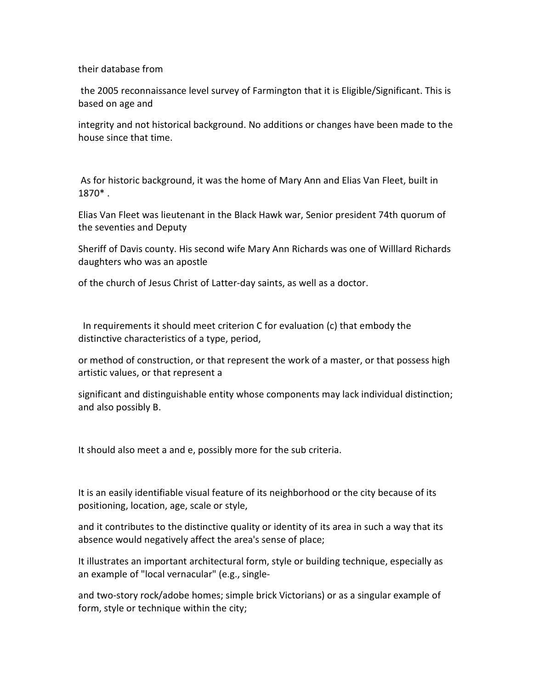## their database from

the 2005 reconnaissance level survey of Farmington that it is Eligible/Significant. This is based on age and

integrity and not historical background. No additions or changes have been made to the house since that time.

As for historic background, it was the home of Mary Ann and Elias Van Fleet, built in 1870\* .

Elias Van Fleet was lieutenant in the Black Hawk war, Senior president 74th quorum of the seventies and Deputy

Sheriff of Davis county. His second wife Mary Ann Richards was one of Willlard Richards daughters who was an apostle

of the church of Jesus Christ of Latter-day saints, as well as a doctor.

 In requirements it should meet criterion C for evaluation (c) that embody the distinctive characteristics of a type, period,

or method of construction, or that represent the work of a master, or that possess high artistic values, or that represent a

significant and distinguishable entity whose components may lack individual distinction; and also possibly B.

It should also meet a and e, possibly more for the sub criteria.

It is an easily identifiable visual feature of its neighborhood or the city because of its positioning, location, age, scale or style,

and it contributes to the distinctive quality or identity of its area in such a way that its absence would negatively affect the area's sense of place;

It illustrates an important architectural form, style or building technique, especially as an example of "local vernacular" (e.g., single-

and two-story rock/adobe homes; simple brick Victorians) or as a singular example of form, style or technique within the city;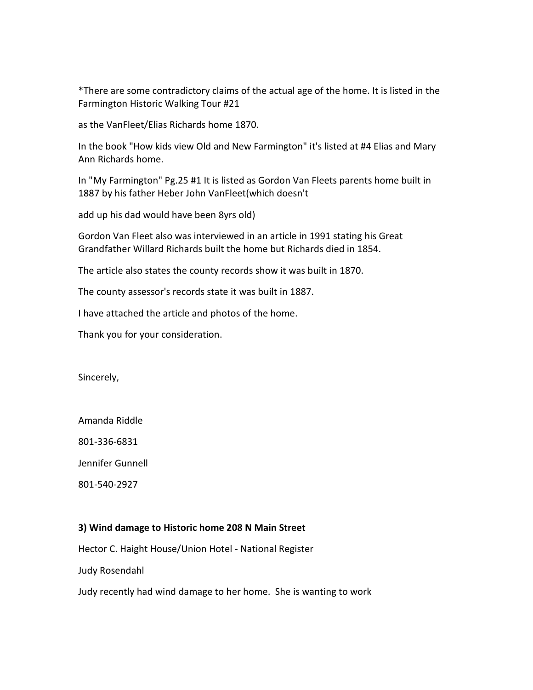\*There are some contradictory claims of the actual age of the home. It is listed in the Farmington Historic Walking Tour #21

as the VanFleet/Elias Richards home 1870.

In the book "How kids view Old and New Farmington" it's listed at #4 Elias and Mary Ann Richards home.

In "My Farmington" Pg.25 #1 It is listed as Gordon Van Fleets parents home built in 1887 by his father Heber John VanFleet(which doesn't

add up his dad would have been 8yrs old)

Gordon Van Fleet also was interviewed in an article in 1991 stating his Great Grandfather Willard Richards built the home but Richards died in 1854.

The article also states the county records show it was built in 1870.

The county assessor's records state it was built in 1887.

I have attached the article and photos of the home.

Thank you for your consideration.

Sincerely,

Amanda Riddle

801-336-6831

Jennifer Gunnell

801-540-2927

## 3) Wind damage to Historic home 208 N Main Street

Hector C. Haight House/Union Hotel - National Register

Judy Rosendahl

Judy recently had wind damage to her home. She is wanting to work